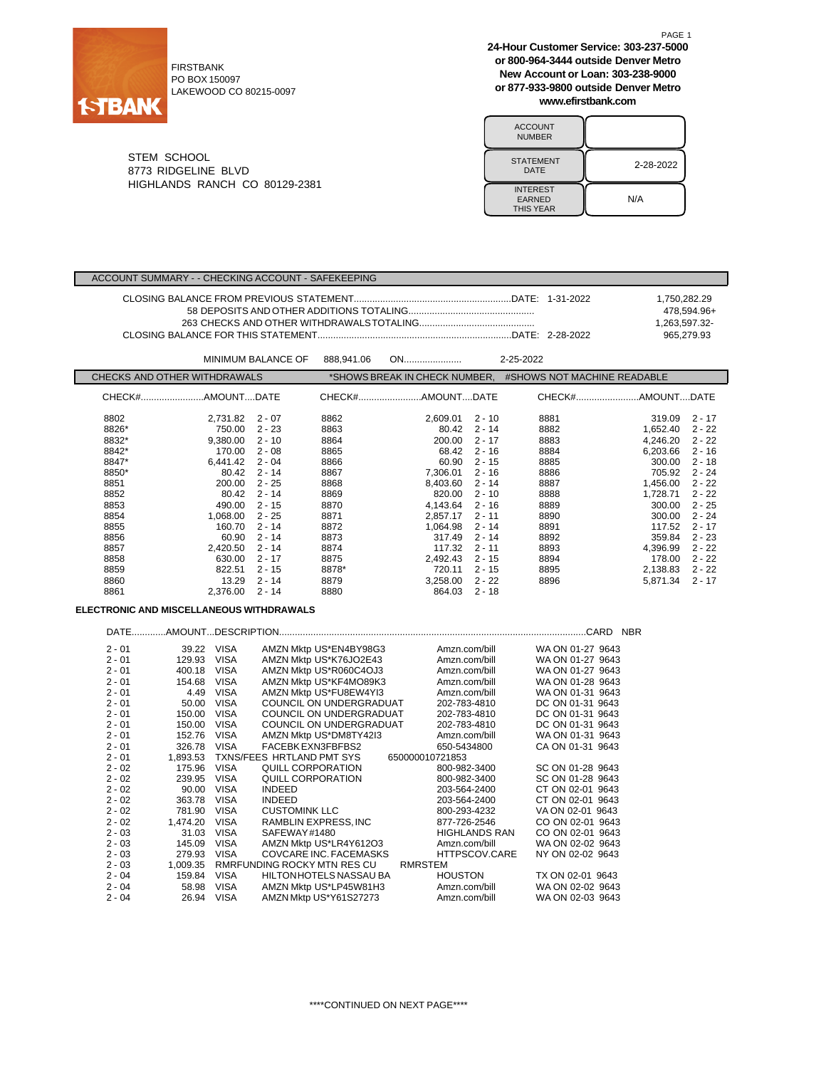

FIRSTBANK PO BOX 150097 LAKEWOOD CO 80215-0097 **24-Hour Customer Service: 303-237-5000 or 800-964-3444 outside Denver Metro New Account or Loan: 303-238-9000 or 877-933-9800 outside Denver Metro www.efirstbank.com**

PAGE 1

| <b>ACCOUNT</b><br><b>NUMBER</b>                      |           |
|------------------------------------------------------|-----------|
| <b>STATEMENT</b><br>DATE                             | 2-28-2022 |
| <b>INTEREST</b><br><b>EARNED</b><br><b>THIS YEAR</b> | N/A       |

STEM SCHOOL 8773 RIDGELINE BLVD HIGHLANDS RANCH CO 80129-2381

ACCOUNT SUMMARY - - CHECKING ACCOUNT - SAFEKEEPING

|                              |          |                    |            |                               |          |                             | 1,750,282.29<br>1,263,597.32- | 478,594.96+<br>965,279.93 |
|------------------------------|----------|--------------------|------------|-------------------------------|----------|-----------------------------|-------------------------------|---------------------------|
|                              |          | MINIMUM BALANCE OF | 888,941.06 | ON                            |          | 2-25-2022                   |                               |                           |
| CHECKS AND OTHER WITHDRAWALS |          |                    |            | *SHOWS BREAK IN CHECK NUMBER, |          | #SHOWS NOT MACHINE READABLE |                               |                           |
|                              |          |                    |            |                               |          |                             |                               |                           |
| 8802                         | 2.731.82 | $2 - 07$           | 8862       | 2.609.01                      | $2 - 10$ | 8881                        | 319.09                        | $2 - 17$                  |
| 8826*                        | 750.00   | $2 - 23$           | 8863       | 80.42                         | $2 - 14$ | 8882                        | 1.652.40                      | $2 - 22$                  |
| 8832*                        | 9.380.00 | $2 - 10$           | 8864       | 200.00                        | $2 - 17$ | 8883                        | 4.246.20                      | $2 - 22$                  |
| 8842*                        | 170.00   | $2 - 08$           | 8865       | 68.42                         | $2 - 16$ | 8884                        | 6.203.66                      | $2 - 16$                  |
| 8847*                        | 6,441.42 | $2 - 04$           | 8866       | 60.90                         | $2 - 15$ | 8885                        | 300.00                        | $2 - 18$                  |
| 8850*                        | 80.42    | $2 - 14$           | 8867       | 7,306.01                      | $2 - 16$ | 8886                        | 705.92                        | $2 - 24$                  |
| 8851                         | 200.00   | $2 - 25$           | 8868       | 8,403.60                      | $2 - 14$ | 8887                        | 1,456.00                      | $2 - 22$                  |
| 8852                         | 80.42    | $2 - 14$           | 8869       | 820.00                        | $2 - 10$ | 8888                        | 1.728.71                      | $2 - 22$                  |
| 8853                         | 490.00   | $2 - 15$           | 8870       | 4,143.64                      | $2 - 16$ | 8889                        | 300.00                        | $2 - 25$                  |
| 8854                         | 1.068.00 | $2 - 25$           | 8871       | 2.857.17                      | $2 - 11$ | 8890                        | 300.00                        | $2 - 24$                  |
| 8855                         | 160.70   | $2 - 14$           | 8872       | 1.064.98                      | $2 - 14$ | 8891                        | 117.52                        | $2 - 17$                  |
| 8856                         | 60.90    | $2 - 14$           | 8873       | 317.49                        | $2 - 14$ | 8892                        | 359.84                        | $2 - 23$                  |
| 8857                         | 2.420.50 | $2 - 14$           | 8874       | 117.32                        | $2 - 11$ | 8893                        | 4.396.99                      | $2 - 22$                  |

8858 630.00 2 - 17 8875 2,492.43 2 - 15 8894 178.00 2 - 22 8859 822.51 2 - 15 8878\* 720.11 2 - 15 8895 2,138.83 2 - 22 8860 13.29 2 - 14 8879 3,258.00 2 - 22 8896 5,871.34 2 - 17

### **ELECTRONIC AND MISCELLANEOUS WITHDRAWALS**

| DATE     |          |             |                             |                      | .CARD<br><b>NBR</b> |
|----------|----------|-------------|-----------------------------|----------------------|---------------------|
| $2 - 01$ | 39.22    | <b>VISA</b> | AMZN Mktp US*EN4BY98G3      | Amzn.com/bill        | WA ON 01-27 9643    |
| $2 - 01$ | 129.93   | <b>VISA</b> | AMZN Mktp US*K76JO2E43      | Amzn.com/bill        | WA ON 01-27 9643    |
| $2 - 01$ | 400.18   | <b>VISA</b> | AMZN Mktp US*R060C4OJ3      | Amzn.com/bill        | WA ON 01-27 9643    |
| $2 - 01$ | 154.68   | <b>VISA</b> | AMZN Mktp US*KF4MO89K3      | Amzn.com/bill        | WA ON 01-28 9643    |
| $2 - 01$ | 4.49     | <b>VISA</b> | AMZN Mktp US*FU8EW4YI3      | Amzn.com/bill        | WA ON 01-31 9643    |
| $2 - 01$ | 50.00    | <b>VISA</b> | COUNCIL ON UNDERGRADUAT     | 202-783-4810         | DC ON 01-31 9643    |
| $2 - 01$ | 150.00   | <b>VISA</b> | COUNCIL ON UNDERGRADUAT     | 202-783-4810         | DC ON 01-31 9643    |
| $2 - 01$ | 150.00   | <b>VISA</b> | COUNCIL ON UNDERGRADUAT     | 202-783-4810         | DC ON 01-31 9643    |
| $2 - 01$ | 152.76   | <b>VISA</b> | AMZN Mktp US*DM8TY42I3      | Amzn.com/bill        | WA ON 01-31 9643    |
| $2 - 01$ | 326.78   | <b>VISA</b> | FACEBK EXN3FBFBS2           | 650-5434800          | CA ON 01-31 9643    |
| $2 - 01$ | 1.893.53 |             | TXNS/FEES HRTLAND PMT SYS   | 650000010721853      |                     |
| $2 - 02$ | 175.96   | <b>VISA</b> | QUILL CORPORATION           | 800-982-3400         | SC ON 01-28 9643    |
| $2 - 02$ | 239.95   | <b>VISA</b> | QUILL CORPORATION           | 800-982-3400         | SC ON 01-28 9643    |
| $2 - 02$ | 90.00    | <b>VISA</b> | <b>INDEED</b>               | 203-564-2400         | CT ON 02-01 9643    |
| $2 - 02$ | 363.78   | <b>VISA</b> | <b>INDEED</b>               | 203-564-2400         | CT ON 02-01 9643    |
| $2 - 02$ | 781.90   | <b>VISA</b> | <b>CUSTOMINK LLC</b>        | 800-293-4232         | VA ON 02-01 9643    |
| $2 - 02$ | 1,474.20 | <b>VISA</b> | RAMBLIN EXPRESS, INC        | 877-726-2546         | CO ON 02-01 9643    |
| $2 - 03$ | 31.03    | <b>VISA</b> | SAFEWAY#1480                | <b>HIGHLANDS RAN</b> | CO ON 02-01 9643    |
| $2 - 03$ | 145.09   | <b>VISA</b> | AMZN Mktp US*LR4Y612O3      | Amzn.com/bill        | WA ON 02-02 9643    |
| $2 - 03$ | 279.93   | <b>VISA</b> | COVCARE INC. FACEMASKS      | HTTPSCOV.CARE        | NY ON 02-02 9643    |
| $2 - 03$ | 1,009.35 |             | RMRFUNDING ROCKY MTN RES CU | <b>RMRSTEM</b>       |                     |
| $2 - 04$ | 159.84   | <b>VISA</b> | HILTONHOTELS NASSAU BA      | <b>HOUSTON</b>       | TX ON 02-01 9643    |
| $2 - 04$ | 58.98    | <b>VISA</b> | AMZN Mktp US*LP45W81H3      | Amzn.com/bill        | WA ON 02-02 9643    |
| $2 - 04$ | 26.94    | <b>VISA</b> | AMZN Mktp US*Y61S27273      | Amzn.com/bill        | WA ON 02-03 9643    |

8861 2,376.00 2 - 14 8880 864.03 2 - 18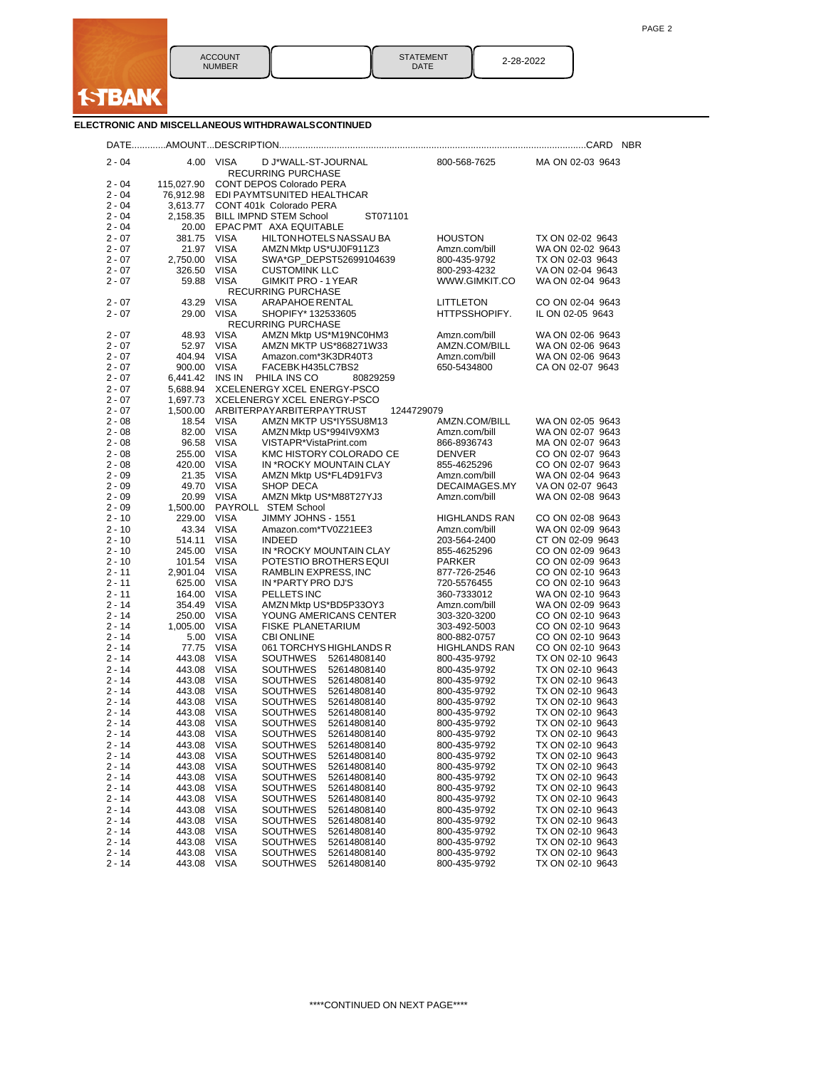

|          |             |                                                        |                      | <b>NBR</b>       |
|----------|-------------|--------------------------------------------------------|----------------------|------------------|
| $2 - 04$ |             | 4.00 VISA<br>D J*WALL-ST-JOURNAL<br>RECURRING PURCHASE | 800-568-7625         | MA ON 02-03 9643 |
| 2 - 04   | 115,027.90  | CONT DEPOS Colorado PERA                               |                      |                  |
| $2 - 04$ |             | 76,912.98 EDI PAYMTSUNITED HEALTHCAR                   |                      |                  |
| $2 - 04$ |             | 3,613.77 CONT 401k Colorado PERA                       |                      |                  |
| $2 - 04$ |             | 2,158.35 BILL IMPND STEM School<br>ST071101            |                      |                  |
| $2 - 04$ |             | 20.00 EPAC PMT AXA EQUITABLE                           |                      |                  |
| $2 - 07$ | 381.75 VISA | HILTON HOTELS NASSAU BA                                | <b>HOUSTON</b>       | TX ON 02-02 9643 |
| 2 - 07   |             | 21.97 VISA<br>AMZN Mktp US*UJ0F911Z3                   | Amzn.com/bill        | WA ON 02-02 9643 |
| 2 - 07   | 2,750.00    | VISA<br>SWA*GP_DEPST52699104639                        | 800-435-9792         | TX ON 02-03 9643 |
| $2 - 07$ | 326.50      | VISA<br><b>CUSTOMINK LLC</b>                           | 800-293-4232         | VA ON 02-04 9643 |
| 2 - 07   | 59.88       | <b>VISA</b><br><b>GIMKIT PRO - 1 YEAR</b>              | WWW.GIMKIT.CO        | WA ON 02-04 9643 |
|          |             | RECURRING PURCHASE                                     |                      |                  |
| $2 - 07$ | 43.29       | <b>VISA</b><br><b>ARAPAHOE RENTAL</b>                  | LITTLETON            | CO ON 02-04 9643 |
| 2 - 07   | 29.00       | <b>VISA</b><br>SHOPIFY* 132533605                      | HTTPSSHOPIFY.        | IL ON 02-05 9643 |
|          |             | <b>RECURRING PURCHASE</b>                              |                      |                  |
| $2 - 07$ | 48.93       | <b>VISA</b><br>AMZN Mktp US*M19NC0HM3                  | Amzn.com/bill        | WA ON 02-06 9643 |
| 2 - 07   | 52.97       | <b>VISA</b><br>AMZN MKTP US*868271W33                  | AMZN.COM/BILL        | WA ON 02-06 9643 |
| 2 - 07   | 404.94      | <b>VISA</b><br>Amazon.com*3K3DR40T3                    | Amzn.com/bill        | WA ON 02-06 9643 |
| $2 - 07$ | 900.00 VISA | FACEBK H435LC7BS2                                      | 650-5434800          | CA ON 02-07 9643 |
| 2 - 07   |             | 6,441.42 INS IN PHILA INS CO<br>80829259               |                      |                  |
| $2 - 07$ | 5,688.94    | XCELENERGY XCEL ENERGY-PSCO                            |                      |                  |
| $2 - 07$ | 1,697.73    | XCELENERGY XCEL ENERGY-PSCO                            |                      |                  |
| $2 - 07$ | 1,500.00    | ARBITERPAYARBITERPAYTRUST                              | 1244729079           |                  |
| $2 - 08$ | 18.54       | <b>VISA</b><br>AMZN MKTP US*IY5SU8M13                  | AMZN.COM/BILL        | WA ON 02-05 9643 |
| $2 - 08$ | 82.00       | VISA<br>AMZN Mktp US*994IV9XM3                         | Amzn.com/bill        | WA ON 02-07 9643 |
| $2 - 08$ | 96.58       | VISA<br>VISTAPR*VistaPrint.com                         | 866-8936743          | MA ON 02-07 9643 |
| $2 - 08$ | 255.00 VISA | KMC HISTORY COLORADO CE                                | <b>DENVER</b>        | CO ON 02-07 9643 |
| $2 - 08$ | 420.00 VISA | IN *ROCKY MOUNTAIN CLAY                                | 855-4625296          | CO ON 02-07 9643 |
| $2 - 09$ | 21.35       | <b>VISA</b><br>AMZN Mktp US*FL4D91FV3                  | Amzn.com/bill        | WA ON 02-04 9643 |
| $2 - 09$ | 49.70 VISA  | <b>SHOP DECA</b>                                       | DECAIMAGES.MY        | VA ON 02-07 9643 |
| $2 - 09$ | 20.99       | VISA<br>AMZN Mktp US*M88T27YJ3                         | Amzn.com/bill        | WA ON 02-08 9643 |
| $2 - 09$ | 1,500.00    | PAYROLL STEM School                                    |                      |                  |
| $2 - 10$ | 229.00      | <b>VISA</b><br>JIMMY JOHNS - 1551                      | <b>HIGHLANDS RAN</b> | CO ON 02-08 9643 |
| $2 - 10$ | 43.34       | VISA<br>Amazon.com*TV0Z21EE3                           | Amzn.com/bill        | WA ON 02-09 9643 |
| $2 - 10$ | 514.11      | <b>VISA</b><br><b>INDEED</b>                           | 203-564-2400         | CT ON 02-09 9643 |
| $2 - 10$ | 245.00      | <b>VISA</b><br>IN *ROCKY MOUNTAIN CLAY                 | 855-4625296          | CO ON 02-09 9643 |
| $2 - 10$ | 101.54      | <b>VISA</b><br>POTESTIO BROTHERS EQUI                  | <b>PARKER</b>        | CO ON 02-09 9643 |
| $2 - 11$ | 2,901.04    | <b>VISA</b><br>RAMBLIN EXPRESS, INC                    | 877-726-2546         | CO ON 02-10 9643 |
| 2 - 11   | 625.00      | <b>VISA</b><br>IN *PARTY PRO DJ'S                      | 720-5576455          | CO ON 02-10 9643 |
| 2 - 11   | 164.00      | VISA<br>PELLETS INC                                    | 360-7333012          | WA ON 02-10 9643 |
| $2 - 14$ | 354.49      | <b>VISA</b><br>AMZN Mktp US*BD5P33OY3                  | Amzn.com/bill        | WA ON 02-09 9643 |
| 2 - 14   | 250.00      | VISA<br>YOUNG AMERICANS CENTER                         | 303-320-3200         | CO ON 02-10 9643 |
| 2 - 14   | 1,005.00    | VISA<br>FISKE PLANETARIUM                              | 303-492-5003         | CO ON 02-10 9643 |
| 2 - 14   | 5.00        | <b>VISA</b><br><b>CBI ONLINE</b>                       | 800-882-0757         | CO ON 02-10 9643 |
| 2 - 14   | 77.75       | <b>VISA</b><br>061 TORCHYS HIGHLANDS R                 | HIGHLANDS RAN        | CO ON 02-10 9643 |
| 2 - 14   | 443.08      | VISA<br>SOUTHWES<br>52614808140                        | 800-435-9792         | TX ON 02-10 9643 |
| 2 - 14   | 443.08      | <b>VISA</b><br><b>SOUTHWES</b><br>52614808140          | 800-435-9792         | TX ON 02-10 9643 |
| 2 - 14   | 443.08      | <b>VISA</b><br>SOUTHWES<br>52614808140                 | 800-435-9792         | TX ON 02-10 9643 |
| 2 - 14   | 443.08      | VISA<br>SOUTHWES<br>52614808140                        | 800-435-9792         | TX ON 02-10 9643 |
| 2 - 14   | 443.08      | <b>VISA</b><br><b>SOUTHWES</b><br>52614808140          | 800-435-9792         | TX ON 02-10 9643 |
| 2 - 14   | 443.08      | VISA<br>SOUTHWES<br>52614808140                        | 800-435-9792         | TX ON 02-10 9643 |
| 2 - 14   | 443.08      | <b>VISA</b><br>SOUTHWES<br>52614808140                 | 800-435-9792         | TX ON 02-10 9643 |
| 2 - 14   | 443.08      | VISA<br>SOUTHWES<br>52614808140                        | 800-435-9792         | TX ON 02-10 9643 |
| 2 - 14   | 443.08      | VISA<br>SOUTHWES<br>52614808140                        | 800-435-9792         | TX ON 02-10 9643 |
| 2 - 14   | 443.08      | <b>VISA</b><br>SOUTHWES<br>52614808140                 | 800-435-9792         | TX ON 02-10 9643 |
| $2 - 14$ | 443.08      | <b>VISA</b><br><b>SOUTHWES</b><br>52614808140          | 800-435-9792         | TX ON 02-10 9643 |
| $2 - 14$ | 443.08      | <b>VISA</b><br>SOUTHWES<br>52614808140                 | 800-435-9792         | TX ON 02-10 9643 |
| $2 - 14$ | 443.08      | <b>VISA</b><br>SOUTHWES<br>52614808140                 | 800-435-9792         | TX ON 02-10 9643 |
| $2 - 14$ | 443.08      | <b>VISA</b><br>SOUTHWES<br>52614808140                 | 800-435-9792         | TX ON 02-10 9643 |
| $2 - 14$ | 443.08      | <b>VISA</b><br>SOUTHWES<br>52614808140                 | 800-435-9792         | TX ON 02-10 9643 |
| $2 - 14$ | 443.08      | <b>VISA</b><br>SOUTHWES<br>52614808140                 | 800-435-9792         | TX ON 02-10 9643 |
| $2 - 14$ | 443.08      | <b>VISA</b><br>SOUTHWES<br>52614808140                 | 800-435-9792         | TX ON 02-10 9643 |
| $2 - 14$ | 443.08      | <b>VISA</b><br>SOUTHWES<br>52614808140                 | 800-435-9792         | TX ON 02-10 9643 |
| $2 - 14$ | 443.08      | <b>VISA</b><br>SOUTHWES<br>52614808140                 | 800-435-9792         | TX ON 02-10 9643 |
| $2 - 14$ | 443.08 VISA | <b>SOUTHWES</b><br>52614808140                         | 800-435-9792         | TX ON 02-10 9643 |
|          |             |                                                        |                      |                  |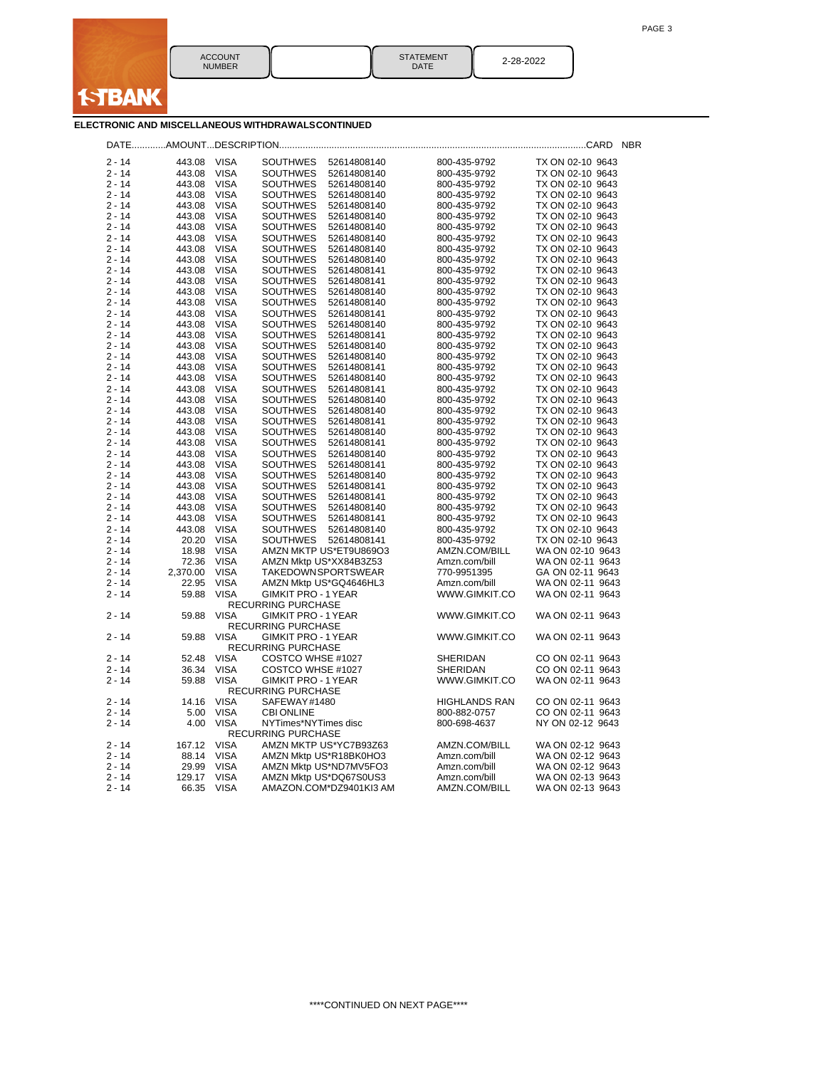

| ACCOLINT<br><b>NI IMRER</b> | <b>STATEMENT</b><br>DATE | . סרי<br>. <i>. .</i> |
|-----------------------------|--------------------------|-----------------------|
|                             |                          |                       |

|                      |                  |                            |                                                                  |                              | <b>NBR</b>                           |
|----------------------|------------------|----------------------------|------------------------------------------------------------------|------------------------------|--------------------------------------|
| $2 - 14$             | 443.08           | <b>VISA</b>                | <b>SOUTHWES</b><br>52614808140                                   | 800-435-9792                 | TX ON 02-10 9643                     |
| $2 - 14$             | 443.08           | <b>VISA</b>                | <b>SOUTHWES</b><br>52614808140                                   | 800-435-9792                 | TX ON 02-10 9643                     |
| $2 - 14$             | 443.08           | <b>VISA</b>                | <b>SOUTHWES</b><br>52614808140                                   | 800-435-9792                 | TX ON 02-10 9643                     |
| $2 - 14$             | 443.08           | <b>VISA</b>                | <b>SOUTHWES</b><br>52614808140                                   | 800-435-9792                 | TX ON 02-10 9643                     |
| $2 - 14$             | 443.08           | VISA                       | <b>SOUTHWES</b><br>52614808140                                   | 800-435-9792                 | TX ON 02-10 9643                     |
| $2 - 14$             | 443.08           | <b>VISA</b>                | <b>SOUTHWES</b><br>52614808140                                   | 800-435-9792                 | TX ON 02-10 9643                     |
| $2 - 14$             | 443.08           | <b>VISA</b>                | <b>SOUTHWES</b><br>52614808140                                   | 800-435-9792                 | TX ON 02-10 9643                     |
| $2 - 14$             | 443.08           | <b>VISA</b>                | <b>SOUTHWES</b><br>52614808140                                   | 800-435-9792                 | TX ON 02-10 9643                     |
| $2 - 14$             | 443.08           | <b>VISA</b>                | <b>SOUTHWES</b><br>52614808140                                   | 800-435-9792                 | TX ON 02-10 9643                     |
| $2 - 14$             | 443.08           | <b>VISA</b>                | <b>SOUTHWES</b><br>52614808140                                   | 800-435-9792                 | TX ON 02-10 9643                     |
| $2 - 14$             | 443.08           | <b>VISA</b>                | <b>SOUTHWES</b><br>52614808141                                   | 800-435-9792                 | TX ON 02-10 9643                     |
| $2 - 14$             | 443.08           | <b>VISA</b>                | <b>SOUTHWES</b><br>52614808141                                   | 800-435-9792                 | TX ON 02-10 9643                     |
| $2 - 14$             | 443.08           | <b>VISA</b>                | <b>SOUTHWES</b><br>52614808140                                   | 800-435-9792                 | TX ON 02-10 9643                     |
| $2 - 14$             | 443.08           | VISA                       | <b>SOUTHWES</b><br>52614808140                                   | 800-435-9792                 | TX ON 02-10 9643                     |
| $2 - 14$             | 443.08           | <b>VISA</b>                | <b>SOUTHWES</b><br>52614808141                                   | 800-435-9792                 | TX ON 02-10 9643                     |
| $2 - 14$             | 443.08           | <b>VISA</b>                | <b>SOUTHWES</b><br>52614808140                                   | 800-435-9792                 | TX ON 02-10 9643                     |
| $2 - 14$             | 443.08           | <b>VISA</b>                | <b>SOUTHWES</b><br>52614808141                                   | 800-435-9792                 | TX ON 02-10 9643                     |
| $2 - 14$             | 443.08           | <b>VISA</b>                | <b>SOUTHWES</b><br>52614808140                                   | 800-435-9792                 | TX ON 02-10 9643                     |
| $2 - 14$             | 443.08           | VISA                       | <b>SOUTHWES</b><br>52614808140                                   | 800-435-9792                 | TX ON 02-10 9643                     |
| $2 - 14$             | 443.08           | <b>VISA</b>                | <b>SOUTHWES</b><br>52614808141                                   | 800-435-9792                 | TX ON 02-10 9643                     |
| $2 - 14$             | 443.08           | <b>VISA</b>                | <b>SOUTHWES</b><br>52614808140                                   | 800-435-9792                 | TX ON 02-10 9643                     |
| $2 - 14$             | 443.08           | <b>VISA</b>                | <b>SOUTHWES</b><br>52614808141                                   | 800-435-9792                 | TX ON 02-10 9643                     |
| $2 - 14$             | 443.08           | VISA                       | <b>SOUTHWES</b><br>52614808140                                   | 800-435-9792                 | TX ON 02-10 9643                     |
| $2 - 14$             | 443.08           | <b>VISA</b>                | <b>SOUTHWES</b><br>52614808140                                   | 800-435-9792                 | TX ON 02-10 9643                     |
| $2 - 14$<br>$2 - 14$ | 443.08           | <b>VISA</b>                | <b>SOUTHWES</b><br>52614808141                                   | 800-435-9792                 | TX ON 02-10 9643                     |
|                      | 443.08           | <b>VISA</b>                | <b>SOUTHWES</b><br>52614808140                                   | 800-435-9792                 | TX ON 02-10 9643                     |
| $2 - 14$<br>$2 - 14$ | 443.08<br>443.08 | <b>VISA</b><br>VISA        | <b>SOUTHWES</b><br>52614808141<br><b>SOUTHWES</b><br>52614808140 | 800-435-9792                 | TX ON 02-10 9643<br>TX ON 02-10 9643 |
| $2 - 14$             | 443.08           | <b>VISA</b>                | <b>SOUTHWES</b><br>52614808141                                   | 800-435-9792<br>800-435-9792 | TX ON 02-10 9643                     |
| $2 - 14$             | 443.08           | <b>VISA</b>                | <b>SOUTHWES</b><br>52614808140                                   | 800-435-9792                 | TX ON 02-10 9643                     |
| $2 - 14$             | 443.08           | VISA                       | <b>SOUTHWES</b><br>52614808141                                   | 800-435-9792                 | TX ON 02-10 9643                     |
| 2 - 14               | 443.08           | VISA                       | SOUTHWES<br>52614808141                                          | 800-435-9792                 | TX ON 02-10 9643                     |
| $2 - 14$             | 443.08           | <b>VISA</b>                | <b>SOUTHWES</b><br>52614808140                                   | 800-435-9792                 | TX ON 02-10 9643                     |
| $2 - 14$             | 443.08           | <b>VISA</b>                | <b>SOUTHWES</b><br>52614808141                                   | 800-435-9792                 | TX ON 02-10 9643                     |
| $2 - 14$             | 443.08           | <b>VISA</b>                | <b>SOUTHWES</b><br>52614808140                                   | 800-435-9792                 | TX ON 02-10 9643                     |
| $2 - 14$             | 20.20            | <b>VISA</b>                | <b>SOUTHWES</b><br>52614808141                                   | 800-435-9792                 | TX ON 02-10 9643                     |
| $2 - 14$             | 18.98            | <b>VISA</b>                | AMZN MKTP US*ET9U869O3                                           | AMZN.COM/BILL                | WA ON 02-10 9643                     |
| $2 - 14$             | 72.36            | <b>VISA</b>                | AMZN Mktp US*XX84B3Z53                                           | Amzn.com/bill                | WA ON 02-11 9643                     |
| $2 - 14$             | 2,370.00         | <b>VISA</b>                | TAKEDOWNSPORTSWEAR                                               | 770-9951395                  | GA ON 02-11 9643                     |
| $2 - 14$             | 22.95            | VISA                       | AMZN Mktp US*GQ4646HL3                                           | Amzn.com/bill                | WA ON 02-11 9643                     |
| $2 - 14$             | 59.88            | <b>VISA</b>                | <b>GIMKIT PRO - 1 YEAR</b>                                       | WWW.GIMKIT.CO                | WA ON 02-11 9643                     |
|                      |                  |                            | <b>RECURRING PURCHASE</b>                                        |                              |                                      |
| $2 - 14$             | 59.88            | <b>VISA</b>                | <b>GIMKIT PRO - 1 YEAR</b>                                       | WWW.GIMKIT.CO                | WA ON 02-11 9643                     |
|                      |                  |                            | <b>RECURRING PURCHASE</b>                                        |                              |                                      |
| $2 - 14$             | 59.88            | <b>VISA</b>                | <b>GIMKIT PRO - 1 YEAR</b>                                       | WWW.GIMKIT.CO                | WA ON 02-11 9643                     |
| $2 - 14$             |                  |                            | <b>RECURRING PURCHASE</b>                                        |                              |                                      |
| $2 - 14$             | 52.48            | <b>VISA</b><br><b>VISA</b> | COSTCO WHSE #1027                                                | SHERIDAN                     | CO ON 02-11 9643                     |
| $2 - 14$             | 36.34<br>59.88   | <b>VISA</b>                | COSTCO WHSE #1027<br><b>GIMKIT PRO - 1 YEAR</b>                  | SHERIDAN<br>WWW.GIMKIT.CO    | CO ON 02-11 9643<br>WA ON 02-11 9643 |
|                      |                  |                            | <b>RECURRING PURCHASE</b>                                        |                              |                                      |
| $2 - 14$             | 14.16            | <b>VISA</b>                | SAFEWAY#1480                                                     | <b>HIGHLANDS RAN</b>         | CO ON 02-11 9643                     |
| $2 - 14$             | 5.00             | <b>VISA</b>                | <b>CBI ONLINE</b>                                                | 800-882-0757                 | CO ON 02-11 9643                     |
| $2 - 14$             | 4.00             | <b>VISA</b>                | NYTimes*NYTimes disc                                             | 800-698-4637                 | NY ON 02-12 9643                     |
|                      |                  |                            | <b>RECURRING PURCHASE</b>                                        |                              |                                      |
| $2 - 14$             | 167.12           | <b>VISA</b>                | AMZN MKTP US*YC7B93Z63                                           | AMZN.COM/BILL                | WA ON 02-12 9643                     |
| $2 - 14$             | 88.14            | <b>VISA</b>                | AMZN Mktp US*R18BK0HO3                                           | Amzn.com/bill                | WA ON 02-12 9643                     |
| $2 - 14$             | 29.99            | <b>VISA</b>                | AMZN Mktp US*ND7MV5FO3                                           | Amzn.com/bill                | WA ON 02-12 9643                     |
| $2 - 14$             | 129.17           | <b>VISA</b>                | AMZN Mktp US*DQ67S0US3                                           | Amzn.com/bill                | WA ON 02-13 9643                     |
| $2 - 14$             | 66.35            | <b>VISA</b>                | AMAZON.COM*DZ9401KI3 AM                                          | AMZN.COM/BILL                | WA ON 02-13 9643                     |
|                      |                  |                            |                                                                  |                              |                                      |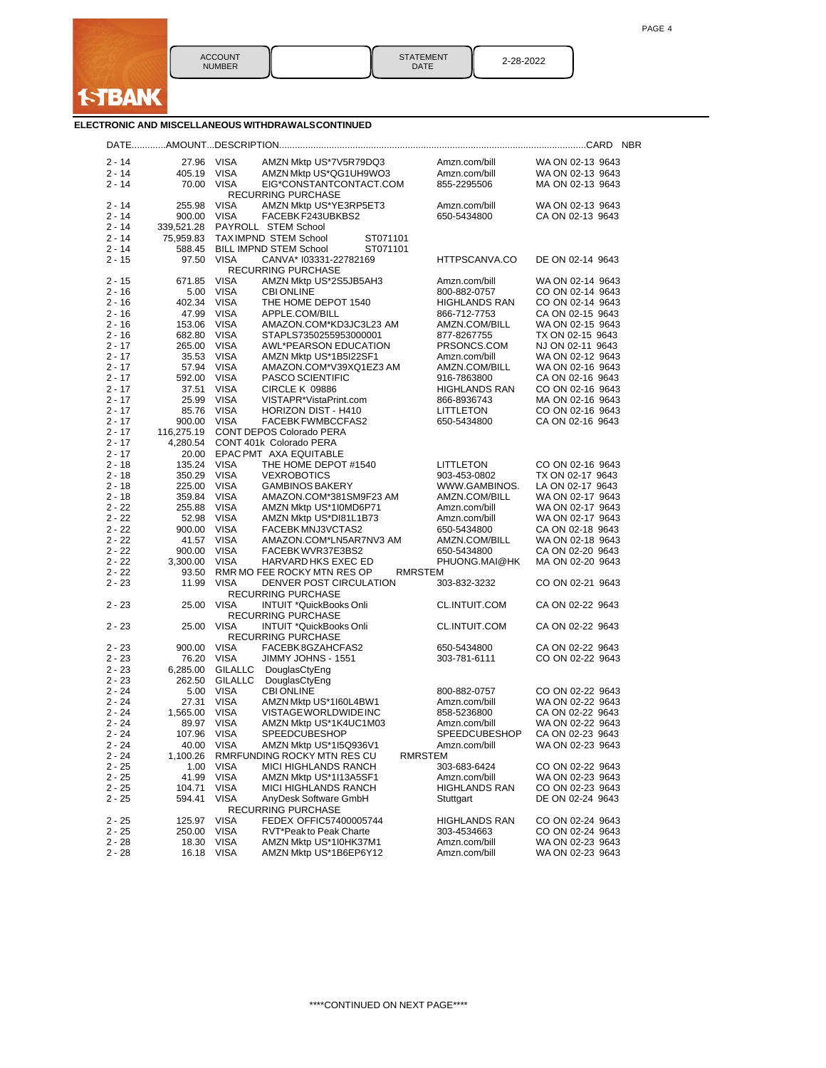

| <b>STATEMENT</b><br>DATE | 2-28-2022 |
|--------------------------|-----------|
|--------------------------|-----------|

|                      |                   |                            |                                                      |                |                              |                                      | <b>NBR</b> |
|----------------------|-------------------|----------------------------|------------------------------------------------------|----------------|------------------------------|--------------------------------------|------------|
| $2 - 14$             | 27.96             | <b>VISA</b>                | AMZN Mktp US*7V5R79DQ3                               |                | Amzn.com/bill                | WA ON 02-13 9643                     |            |
| $2 - 14$             | 405.19            | <b>VISA</b>                | AMZN Mktp US*QG1UH9WO3                               |                | Amzn.com/bill                | WA ON 02-13 9643                     |            |
| $2 - 14$             | 70.00             | <b>VISA</b>                | EIG*CONSTANTCONTACT.COM<br><b>RECURRING PURCHASE</b> |                | 855-2295506                  | MA ON 02-13 9643                     |            |
| 2 - 14               | 255.98            | <b>VISA</b>                | AMZN Mktp US*YE3RP5ET3                               |                | Amzn.com/bill                | WA ON 02-13 9643                     |            |
| $2 - 14$             | 900.00            | <b>VISA</b>                | FACEBK F243UBKBS2                                    |                | 650-5434800                  | CA ON 02-13 9643                     |            |
| 2 - 14               | 339,521.28        |                            | PAYROLL STEM School                                  |                |                              |                                      |            |
| $2 - 14$             | 75,959.83         |                            | TAXIMPND STEM School                                 | ST071101       |                              |                                      |            |
| 2 - 14               | 588.45            |                            | <b>BILL IMPND STEM School</b>                        | ST071101       |                              |                                      |            |
| $2 - 15$             | 97.50             | <b>VISA</b>                | CANVA* I03331-22782169<br>RECURRING PURCHASE         |                | HTTPSCANVA.CO                | DE ON 02-14 9643                     |            |
| $2 - 15$             | 671.85            | <b>VISA</b>                | AMZN Mktp US*2S5JB5AH3                               |                | Amzn.com/bill                | WA ON 02-14 9643                     |            |
| $2 - 16$             | 5.00              | <b>VISA</b>                | <b>CBI ONLINE</b>                                    |                | 800-882-0757                 | CO ON 02-14 9643                     |            |
| $2 - 16$             | 402.34            | <b>VISA</b>                | THE HOME DEPOT 1540                                  |                | <b>HIGHLANDS RAN</b>         | CO ON 02-14 9643                     |            |
| $2 - 16$             | 47.99             | <b>VISA</b>                | APPLE.COM/BILL                                       |                | 866-712-7753                 | CA ON 02-15 9643                     |            |
| $2 - 16$             | 153.06            | <b>VISA</b>                | AMAZON.COM*KD3JC3L23 AM                              |                | AMZN.COM/BILL                | WA ON 02-15 9643                     |            |
| $2 - 16$             | 682.80            | <b>VISA</b><br><b>VISA</b> | STAPLS7350255953000001                               |                | 877-8267755                  | TX ON 02-15 9643                     |            |
| $2 - 17$<br>$2 - 17$ | 265.00<br>35.53   | <b>VISA</b>                | AWL*PEARSON EDUCATION<br>AMZN Mktp US*1B5I22SF1      |                | PRSONCS.COM<br>Amzn.com/bill | NJ ON 02-11 9643<br>WA ON 02-12 9643 |            |
| $2 - 17$             | 57.94             | <b>VISA</b>                | AMAZON.COM*V39XQ1EZ3 AM                              |                | AMZN.COM/BILL                | WA ON 02-16 9643                     |            |
| $2 - 17$             | 592.00            | <b>VISA</b>                | <b>PASCO SCIENTIFIC</b>                              |                | 916-7863800                  | CA ON 02-16 9643                     |            |
| $2 - 17$             | 37.51             | <b>VISA</b>                | CIRCLE K 09886                                       |                | HIGHLANDS RAN                | CO ON 02-16 9643                     |            |
| $2 - 17$             | 25.99             | <b>VISA</b>                | VISTAPR*VistaPrint.com                               |                | 866-8936743                  | MA ON 02-16 9643                     |            |
| $2 - 17$             | 85.76             | <b>VISA</b>                | HORIZON DIST - H410                                  |                | LITTLETON                    | CO ON 02-16 9643                     |            |
| $2 - 17$             | 900.00            | <b>VISA</b>                | FACEBK FWMBCCFAS2                                    |                | 650-5434800                  | CA ON 02-16 9643                     |            |
| $2 - 17$             | 116,275.19        |                            | CONT DEPOS Colorado PERA                             |                |                              |                                      |            |
| $2 - 17$             | 4,280.54          |                            | CONT 401k Colorado PERA                              |                |                              |                                      |            |
| $2 - 17$             | 20.00             |                            | EPAC PMT AXA EQUITABLE                               |                |                              |                                      |            |
| 2 - 18               | 135.24            | <b>VISA</b>                | THE HOME DEPOT #1540                                 |                | LITTLETON                    | CO ON 02-16 9643                     |            |
| $2 - 18$             | 350.29            | <b>VISA</b>                | <b>VEXROBOTICS</b>                                   |                | 903-453-0802                 | TX ON 02-17 9643                     |            |
| 2 - 18               | 225.00            | <b>VISA</b>                | <b>GAMBINOS BAKERY</b>                               |                | WWW.GAMBINOS.                | LA ON 02-17 9643                     |            |
| 2 - 18               | 359.84            | <b>VISA</b>                | AMAZON.COM*381SM9F23 AM                              |                | AMZN.COM/BILL                | WA ON 02-17 9643                     |            |
| $2 - 22$             | 255.88            | <b>VISA</b>                | AMZN Mktp US*1I0MD6P71                               |                | Amzn.com/bill                | WA ON 02-17 9643                     |            |
| $2 - 22$             | 52.98             | <b>VISA</b>                | AMZN Mktp US*DI81L1B73                               |                | Amzn.com/bill                | WA ON 02-17 9643                     |            |
| $2 - 22$<br>$2 - 22$ | 900.00<br>41.57   | <b>VISA</b><br><b>VISA</b> | FACEBK MNJ3VCTAS2<br>AMAZON.COM*LN5AR7NV3 AM         |                | 650-5434800<br>AMZN.COM/BILL | CA ON 02-18 9643<br>WA ON 02-18 9643 |            |
| $2 - 22$             | 900.00            | <b>VISA</b>                | FACEBK WVR37E3BS2                                    |                | 650-5434800                  | CA ON 02-20 9643                     |            |
| $2 - 22$             | 3,300.00          | <b>VISA</b>                | HARVARD HKS EXEC ED                                  |                | PHUONG.MAI@HK                | MA ON 02-20 9643                     |            |
| $2 - 22$             | 93.50             |                            | RMR MO FEE ROCKY MTN RES OP                          | <b>RMRSTEM</b> |                              |                                      |            |
| $2 - 23$             | 11.99             | VISA                       | DENVER POST CIRCULATION                              |                | 303-832-3232                 | CO ON 02-21 9643                     |            |
| $2 - 23$             | 25.00             | <b>VISA</b>                | <b>RECURRING PURCHASE</b><br>INTUIT *QuickBooks Onli |                | CL.INTUIT.COM                | CA ON 02-22 9643                     |            |
|                      |                   |                            | <b>RECURRING PURCHASE</b>                            |                |                              |                                      |            |
| $2 - 23$             | 25.00             | <b>VISA</b>                | INTUIT *QuickBooks Onli<br><b>RECURRING PURCHASE</b> |                | CL.INTUIT.COM                | CA ON 02-22 9643                     |            |
| $2 - 23$             | 900.00            | VISA                       | FACEBK 8GZAHCFAS2                                    |                | 650-5434800                  | CA ON 02-22 9643                     |            |
| $2 - 23$             | 76.20             | <b>VISA</b>                | JIMMY JOHNS - 1551                                   |                | 303-781-6111                 | CO ON 02-22 9643                     |            |
| $2 - 23$             | 6,285.00          | <b>GILALLC</b>             | DouglasCtyEng                                        |                |                              |                                      |            |
| $2 - 23$             | 262.50            | GILALLC                    | DouglasCtyEng                                        |                |                              |                                      |            |
| $2 - 24$             | 5.00              | <b>VISA</b>                | <b>CBI ONLINE</b>                                    |                | 800-882-0757                 | CO ON 02-22 9643                     |            |
| $2 - 24$<br>$2 - 24$ | 27.31             | <b>VISA</b>                | AMZN Mktp US*1I60L4BW1<br>VISTAGE WORLDWIDE INC      |                | Amzn.com/bill<br>858-5236800 | WA ON 02-22 9643                     |            |
| 2 - 24               | 1,565.00<br>89.97 | VISA<br><b>VISA</b>        | AMZN Mktp US*1K4UC1M03                               |                | Amzn.com/bill                | CA ON 02-22 9643<br>WA ON 02-22 9643 |            |
| $2 - 24$             | 107.96            | <b>VISA</b>                | <b>SPEEDCUBESHOP</b>                                 |                | SPEEDCUBESHOP                | CA ON 02-23 9643                     |            |
| 2 - 24               | 40.00             | <b>VISA</b>                | AMZN Mktp US*1I5Q936V1                               |                | Amzn.com/bill                | WA ON 02-23 9643                     |            |
| 2 - 24               | 1,100.26          |                            | RMRFUNDING ROCKY MTN RES CU                          | RMRSTEM        |                              |                                      |            |
| $2 - 25$             | 1.00              | <b>VISA</b>                | <b>MICI HIGHLANDS RANCH</b>                          |                | 303-683-6424                 | CO ON 02-22 9643                     |            |
| $2 - 25$             | 41.99             | <b>VISA</b>                | AMZN Mktp US*1I13A5SF1                               |                | Amzn.com/bill                | WA ON 02-23 9643                     |            |
| $2 - 25$             | 104.71            | <b>VISA</b>                | MICI HIGHLANDS RANCH                                 |                | <b>HIGHLANDS RAN</b>         | CO ON 02-23 9643                     |            |
| $2 - 25$             | 594.41            | <b>VISA</b>                | AnyDesk Software GmbH                                |                | Stuttgart                    | DE ON 02-24 9643                     |            |
|                      |                   |                            | RECURRING PURCHASE                                   |                |                              |                                      |            |
| $2 - 25$             | 125.97            | <b>VISA</b>                | FEDEX OFFIC57400005744                               |                | <b>HIGHLANDS RAN</b>         | CO ON 02-24 9643                     |            |
| $2 - 25$             | 250.00            | <b>VISA</b>                | RVT*Peak to Peak Charte                              |                | 303-4534663                  | CO ON 02-24 9643                     |            |
| $2 - 28$             | 18.30             | <b>VISA</b>                | AMZN Mktp US*1I0HK37M1                               |                | Amzn.com/bill                | WA ON 02-23 9643                     |            |
| $2 - 28$             |                   | 16.18 VISA                 | AMZN Mktp US*1B6EP6Y12                               |                | Amzn.com/bill                | WA ON 02-23 9643                     |            |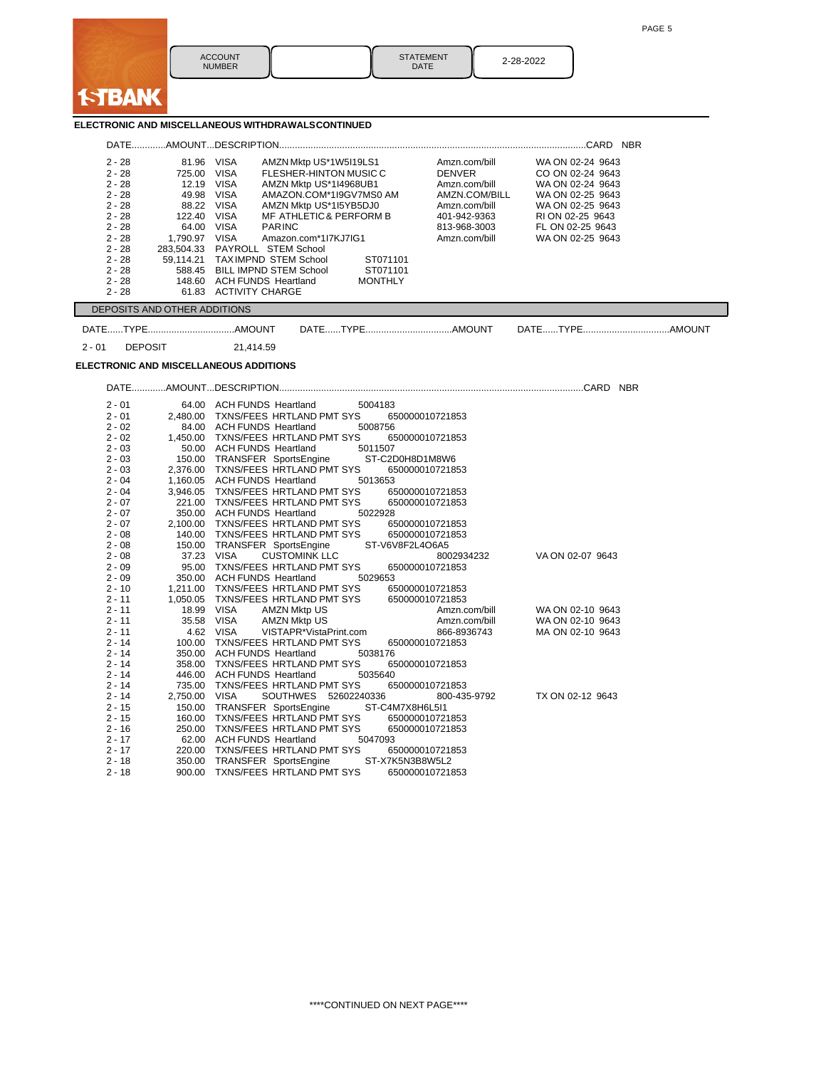

**I-TBANK** 

|                      |                              | ELECTRONIC AND MISCELLANEOUS WITHDRAWALSCONTINUED                                             |                                |                                      |
|----------------------|------------------------------|-----------------------------------------------------------------------------------------------|--------------------------------|--------------------------------------|
|                      |                              |                                                                                               |                                |                                      |
| $2 - 28$<br>$2 - 28$ | 81.96 VISA<br>725.00 VISA    | AMZN Mktp US*1W5I19LS1<br>FLESHER-HINTON MUSIC C                                              | Amzn.com/bill<br><b>DENVER</b> | WA ON 02-24 9643<br>CO ON 02-24 9643 |
| $2 - 28$             | 12.19 VISA                   | AMZN Mktp US*1I4968UB1                                                                        | Amzn.com/bill                  | WA ON 02-24 9643                     |
| $2 - 28$             | 49.98 VISA                   | AMAZON.COM*1I9GV7MS0 AM                                                                       | AMZN.COM/BILL                  | WA ON 02-25 9643                     |
| $2 - 28$             | 88.22 VISA                   | AMZN Mktp US*1I5YB5DJ0                                                                        | Amzn.com/bill                  | WA ON 02-25 9643                     |
| $2 - 28$             | 122.40 VISA                  | MF ATHLETIC & PERFORM B                                                                       | 401-942-9363                   | RI ON 02-25 9643                     |
| $2 - 28$             | 64.00                        | VISA<br><b>PARINC</b>                                                                         | 813-968-3003                   | FL ON 02-25 9643                     |
| $2 - 28$             | 1,790.97 VISA                | Amazon.com*1l7KJ7IG1                                                                          | Amzn.com/bill                  | WA ON 02-25 9643                     |
| $2 - 28$             |                              | 283,504.33 PAYROLL STEM School                                                                |                                |                                      |
| $2 - 28$             |                              | 59,114.21 TAXIMPND STEM School<br>ST071101                                                    |                                |                                      |
| $2 - 28$             |                              | 588.45 BILL IMPND STEM School<br>ST071101                                                     |                                |                                      |
| $2 - 28$             |                              | 148.60 ACH FUNDS Heartland<br><b>MONTHLY</b>                                                  |                                |                                      |
| $2 - 28$             |                              | 61.83 ACTIVITY CHARGE                                                                         |                                |                                      |
|                      | DEPOSITS AND OTHER ADDITIONS |                                                                                               |                                |                                      |
|                      |                              |                                                                                               |                                |                                      |
| $2 - 01$             | <b>DEPOSIT</b>               | 21.414.59                                                                                     |                                |                                      |
|                      |                              | <b>ELECTRONIC AND MISCELLANEOUS ADDITIONS</b>                                                 |                                |                                      |
|                      |                              |                                                                                               |                                |                                      |
| $2 - 01$             |                              | 64.00 ACH FUNDS Heartland 5004183                                                             |                                |                                      |
| $2 - 01$             |                              | 2,480.00 TXNS/FEES HRTLAND PMT SYS<br>650000010721853                                         |                                |                                      |
| $2 - 02$<br>$2 - 02$ |                              | 84.00 ACH FUNDS Heartland 5008756                                                             |                                |                                      |
| $2 - 03$             |                              | 1,450.00 TXNS/FEES HRTLAND PMT SYS<br>650000010721853<br>50.00 ACH FUNDS Heartland<br>5011507 |                                |                                      |
| $2 - 03$             |                              | 150.00 TRANSFER SportsEngine<br>ST-C2D0H8D1M8W6                                               |                                |                                      |
| $2 - 03$             |                              | 2,376.00 TXNS/FEES HRTLAND PMT SYS<br>650000010721853                                         |                                |                                      |
| $2 - 04$             |                              | 1,160.05 ACH FUNDS Heartland<br>5013653                                                       |                                |                                      |
| $2 - 04$             |                              | 3,946.05 TXNS/FEES HRTLAND PMT SYS<br>650000010721853                                         |                                |                                      |
| $2 - 07$             |                              | 221.00 TXNS/FEES HRTLAND PMT SYS<br>650000010721853                                           |                                |                                      |
| $2 - 07$             |                              | 350.00 ACH FUNDS Heartland<br>5022928                                                         |                                |                                      |
| $2 - 07$             |                              | 2,100.00 TXNS/FEES HRTLAND PMT SYS<br>650000010721853                                         |                                |                                      |
| $2 - 08$             |                              | 140.00 TXNS/FEES HRTLAND PMT SYS<br>650000010721853<br>ST-V6V8F2L4O6A5                        |                                |                                      |
| $2 - 08$<br>$2 - 08$ |                              | 150.00 TRANSFER SportsEngine<br><b>CUSTOMINK LLC</b><br>37.23 VISA                            |                                | VA ON 02-07 9643                     |
| $2 - 09$             |                              | 95.00 TXNS/FEES HRTLAND PMT SYS<br>650000010721853                                            | 8002934232                     |                                      |
| $2 - 09$             |                              | 350.00 ACH FUNDS Heartland<br>5029653                                                         |                                |                                      |
| $2 - 10$             |                              | 1.211.00 TXNS/FEES HRTLAND PMT SYS<br>650000010721853                                         |                                |                                      |
| $2 - 11$             |                              | 1,050.05 TXNS/FEES HRTLAND PMT SYS<br>650000010721853                                         |                                |                                      |
| $2 - 11$             |                              | 18.99 VISA<br><b>AMZN Mktp US</b>                                                             | Amzn.com/bill                  | WA ON 02-10 9643                     |
| $2 - 11$             |                              | 35.58 VISA<br><b>AMZN Mktp US</b>                                                             | Amzn.com/bill                  | WA ON 02-10 9643                     |
| $2 - 11$             |                              | 4.62 VISA<br>VISTAPR*VistaPrint.com                                                           | 866-8936743                    | MA ON 02-10 9643                     |
| $2 - 14$             |                              | 100.00 TXNS/FEES HRTLAND PMT SYS<br>650000010721853                                           |                                |                                      |
| $2 - 14$<br>$2 - 14$ |                              | 350.00 ACH FUNDS Heartland<br>5038176<br>358.00 TXNS/FEES HRTLAND PMT SYS<br>650000010721853  |                                |                                      |
| $2 - 14$             |                              | 446.00 ACH FUNDS Heartland<br>5035640                                                         |                                |                                      |
| $2 - 14$             |                              | 735.00 TXNS/FEES HRTLAND PMT SYS<br>650000010721853                                           |                                |                                      |
| $2 - 14$             | 2,750.00 VISA                | SOUTHWES 52602240336                                                                          | 800-435-9792                   | TX ON 02-12 9643                     |
| $2 - 15$             |                              | 150.00 TRANSFER SportsEngine<br>ST-C4M7X8H6L5I1                                               |                                |                                      |
| $2 - 15$             |                              | 160.00 TXNS/FEES HRTLAND PMT SYS<br>650000010721853                                           |                                |                                      |
| $2 - 16$             |                              | 250.00 TXNS/FEES HRTLAND PMT SYS<br>650000010721853                                           |                                |                                      |
| $2 - 17$             |                              | 62.00 ACH FUNDS Heartland<br>5047093                                                          |                                |                                      |
| $2 - 17$             |                              | 220.00 TXNS/FEES HRTLAND PMT SYS<br>650000010721853                                           |                                |                                      |
| $2 - 18$             |                              | 350.00 TRANSFER SportsEngine ST-X7K5N3B8W5L2                                                  |                                |                                      |
| $2 - 18$             |                              | 900.00 TXNS/FEES HRTLAND PMT SYS<br>650000010721853                                           |                                |                                      |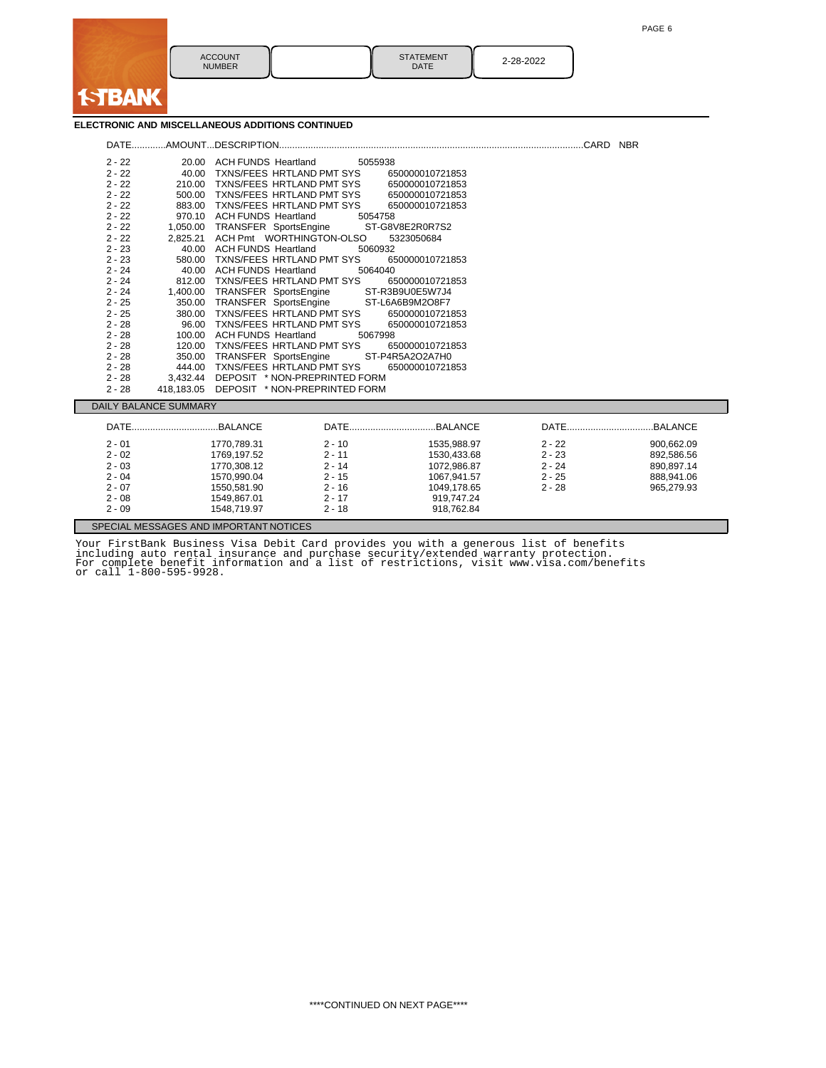a a

| <b>ACCOUNT</b><br><b>NUMBER</b> | <b>STATEMENT</b><br><b>DATE</b> | 2-28-2022 |
|---------------------------------|---------------------------------|-----------|

## **ELECTRONIC AND MISCELLANEOUS ADDITIONS CONTINUED**

**ISTBANK** 

| $2 - 22$ |                              | 20.00 ACH FUNDS Heartland              |          | 5055938         |          |            |
|----------|------------------------------|----------------------------------------|----------|-----------------|----------|------------|
| $2 - 22$ |                              | 40.00 TXNS/FEES HRTLAND PMT SYS        |          | 650000010721853 |          |            |
| $2 - 22$ |                              | 210.00 TXNS/FEES HRTLAND PMT SYS       |          | 650000010721853 |          |            |
| $2 - 22$ |                              | 500.00 TXNS/FEES HRTLAND PMT SYS       |          | 650000010721853 |          |            |
| $2 - 22$ |                              | 883.00 TXNS/FEES HRTLAND PMT SYS       |          | 650000010721853 |          |            |
| $2 - 22$ |                              | 970.10 ACH FUNDS Heartland             |          | 5054758         |          |            |
| $2 - 22$ |                              | 1,050.00 TRANSFER SportsEngine         |          | ST-G8V8E2R0R7S2 |          |            |
| $2 - 22$ |                              | 2,825.21 ACH Pmt WORTHINGTON-OLSO      |          | 5323050684      |          |            |
| $2 - 23$ |                              | 40.00 ACH FUNDS Heartland              |          | 5060932         |          |            |
| $2 - 23$ | 580.00                       | TXNS/FEES HRTLAND PMT SYS              |          | 650000010721853 |          |            |
| $2 - 24$ |                              | 40.00 ACH FUNDS Heartland              |          | 5064040         |          |            |
| $2 - 24$ |                              | 812.00 TXNS/FEES HRTLAND PMT SYS       |          | 650000010721853 |          |            |
| $2 - 24$ |                              | 1,400.00 TRANSFER SportsEngine         |          | ST-R3B9U0E5W7J4 |          |            |
| $2 - 25$ |                              | 350.00 TRANSFER SportsEngine           |          | ST-L6A6B9M2O8F7 |          |            |
| $2 - 25$ | 380.00                       | TXNS/FEES HRTLAND PMT SYS              |          | 650000010721853 |          |            |
| $2 - 28$ | 96.00                        | TXNS/FEES HRTLAND PMT SYS              |          | 650000010721853 |          |            |
| $2 - 28$ |                              | 100.00 ACH FUNDS Heartland             |          | 5067998         |          |            |
| $2 - 28$ | 120.00                       | TXNS/FEES HRTLAND PMT SYS              |          | 650000010721853 |          |            |
| $2 - 28$ |                              | 350.00 TRANSFER SportsEngine           |          | ST-P4R5A2O2A7H0 |          |            |
| $2 - 28$ | 444.00                       | TXNS/FEES HRTLAND PMT SYS              |          | 650000010721853 |          |            |
| $2 - 28$ |                              | 3.432.44 DEPOSIT * NON-PREPRINTED FORM |          |                 |          |            |
| $2 - 28$ | 418,183.05                   | DEPOSIT * NON-PREPRINTED FORM          |          |                 |          |            |
|          | <b>DAILY BALANCE SUMMARY</b> |                                        |          |                 |          |            |
|          |                              |                                        |          |                 |          |            |
| $2 - 01$ |                              | 1770,789.31                            | $2 - 10$ | 1535,988.97     | $2 - 22$ | 900,662.09 |
| $2 - 02$ |                              | 1769.197.52                            | $2 - 11$ | 1530.433.68     | $2 - 23$ | 892,586.56 |
| $2 - 03$ |                              | 1770.308.12                            | $2 - 14$ | 1072.986.87     | $2 - 24$ | 890,897.14 |
| $2 - 04$ |                              | 1570,990.04                            | $2 - 15$ | 1067,941.57     | $2 - 25$ | 888,941.06 |
| $2 - 07$ |                              | 1550.581.90                            | $2 - 16$ | 1049,178.65     | $2 - 28$ | 965,279.93 |
| $2 - 08$ |                              | 1549,867.01                            | $2 - 17$ | 919,747.24      |          |            |
| $2 - 09$ |                              | 1548,719.97                            | $2 - 18$ | 918,762.84      |          |            |
|          |                              | SPECIAL MESSAGES AND IMPORTANT NOTICES |          |                 |          |            |

Your FirstBank Business Visa Debit Card provides you with a generous list of benefits<br>including auto rental insurance and purchase security/extended warranty protection.<br>For complete benefit information and a list of restr